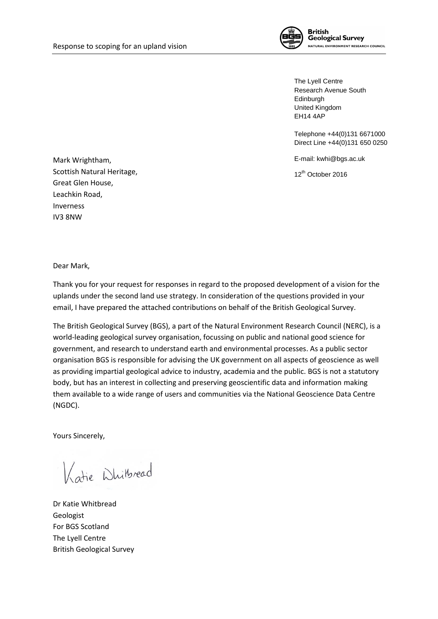

The Lyell Centre Research Avenue South Edinburgh United Kingdom EH14 4AP

Telephone +44(0)131 6671000 Direct Line +44(0)131 650 0250

E-mail: kwhi@bgs.ac.uk

12th October 2016

Mark Wrightham, Scottish Natural Heritage, Great Glen House, Leachkin Road, Inverness IV3 8NW

Dear Mark,

Thank you for your request for responses in regard to the proposed development of a vision for the uplands under the second land use strategy. In consideration of the questions provided in your email, I have prepared the attached contributions on behalf of the British Geological Survey.

The British Geological Survey (BGS), a part of the Natural Environment Research Council (NERC), is a world-leading geological survey organisation, focussing on public and national good science for government, and research to understand earth and environmental processes. As a public sector organisation BGS is responsible for advising the UK government on all aspects of geoscience as well as providing impartial geological advice to industry, academia and the public. BGS is not a statutory body, but has an interest in collecting and preserving geoscientific data and information making them available to a wide range of users and communities via the National Geoscience Data Centre (NGDC).

Yours Sincerely,

Katie Whitbread

Dr Katie Whitbread Geologist For BGS Scotland The Lyell Centre British Geological Survey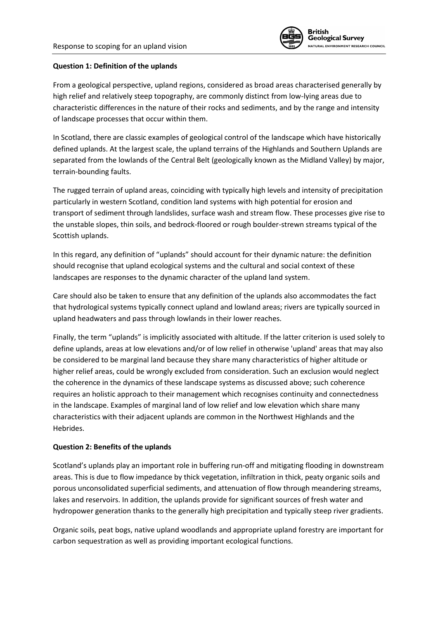

### **Question 1: Definition of the uplands**

From a geological perspective, upland regions, considered as broad areas characterised generally by high relief and relatively steep topography, are commonly distinct from low-lying areas due to characteristic differences in the nature of their rocks and sediments, and by the range and intensity of landscape processes that occur within them.

In Scotland, there are classic examples of geological control of the landscape which have historically defined uplands. At the largest scale, the upland terrains of the Highlands and Southern Uplands are separated from the lowlands of the Central Belt (geologically known as the Midland Valley) by major, terrain-bounding faults.

The rugged terrain of upland areas, coinciding with typically high levels and intensity of precipitation particularly in western Scotland, condition land systems with high potential for erosion and transport of sediment through landslides, surface wash and stream flow. These processes give rise to the unstable slopes, thin soils, and bedrock-floored or rough boulder-strewn streams typical of the Scottish uplands.

In this regard, any definition of "uplands" should account for their dynamic nature: the definition should recognise that upland ecological systems and the cultural and social context of these landscapes are responses to the dynamic character of the upland land system.

Care should also be taken to ensure that any definition of the uplands also accommodates the fact that hydrological systems typically connect upland and lowland areas; rivers are typically sourced in upland headwaters and pass through lowlands in their lower reaches.

Finally, the term "uplands" is implicitly associated with altitude. If the latter criterion is used solely to define uplands, areas at low elevations and/or of low relief in otherwise 'upland' areas that may also be considered to be marginal land because they share many characteristics of higher altitude or higher relief areas, could be wrongly excluded from consideration. Such an exclusion would neglect the coherence in the dynamics of these landscape systems as discussed above; such coherence requires an holistic approach to their management which recognises continuity and connectedness in the landscape. Examples of marginal land of low relief and low elevation which share many characteristics with their adjacent uplands are common in the Northwest Highlands and the Hebrides.

#### **Question 2: Benefits of the uplands**

Scotland's uplands play an important role in buffering run-off and mitigating flooding in downstream areas. This is due to flow impedance by thick vegetation, infiltration in thick, peaty organic soils and porous unconsolidated superficial sediments, and attenuation of flow through meandering streams, lakes and reservoirs. In addition, the uplands provide for significant sources of fresh water and hydropower generation thanks to the generally high precipitation and typically steep river gradients.

Organic soils, peat bogs, native upland woodlands and appropriate upland forestry are important for carbon sequestration as well as providing important ecological functions.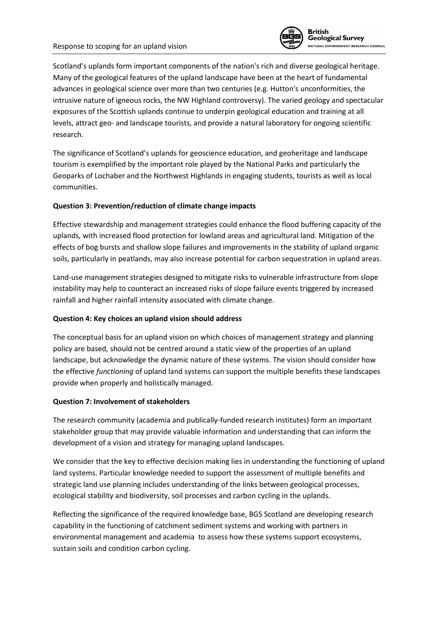

Scotland's uplands form important components of the nation's rich and diverse geological heritage. Many of the geological features of the upland landscape have been at the heart of fundamental advances in geological science over more than two centuries (e.g. Hutton's unconformities, the intrusive nature of igneous rocks, the NW Highland controversy). The varied geology and spectacular exposures of the Scottish uplands continue to underpin geological education and training at all levels, attract geo- and landscape tourists, and provide a natural laboratory for ongoing scientific research.

The significance of Scotland's uplands for geoscience education, and geoheritage and landscape tourism is exemplified by the important role played by the National Parks and particularly the Geoparks of Lochaber and the Northwest Highlands in engaging students, tourists as well as local communities.

## **Question 3: Prevention/reduction of climate change impacts**

Effective stewardship and management strategies could enhance the flood buffering capacity of the uplands, with increased flood protection for lowland areas and agricultural land. Mitigation of the effects of bog bursts and shallow slope failures and improvements in the stability of upland organic soils, particularly in peatlands, may also increase potential for carbon sequestration in upland areas.

Land-use management strategies designed to mitigate risks to vulnerable infrastructure from slope instability may help to counteract an increased risks of slope failure events triggered by increased rainfall and higher rainfall intensity associated with climate change.

# **Question 4: Key choices an upland vision should address**

The conceptual basis for an upland vision on which choices of management strategy and planning policy are based, should not be centred around a static view of the properties of an upland landscape, but acknowledge the dynamic nature of these systems. The vision should consider how the effective *functioning* of upland land systems can support the multiple benefits these landscapes provide when properly and holistically managed.

## **Question 7: Involvement of stakeholders**

The research community (academia and publically-funded research institutes) form an important stakeholder group that may provide valuable information and understanding that can inform the development of a vision and strategy for managing upland landscapes.

We consider that the key to effective decision making lies in understanding the functioning of upland land systems. Particular knowledge needed to support the assessment of multiple benefits and strategic land use planning includes understanding of the links between geological processes, ecological stability and biodiversity, soil processes and carbon cycling in the uplands.

Reflecting the significance of the required knowledge base, BGS Scotland are developing research capability in the functioning of catchment sediment systems and working with partners in environmental management and academia to assess how these systems support ecosystems, sustain soils and condition carbon cycling.